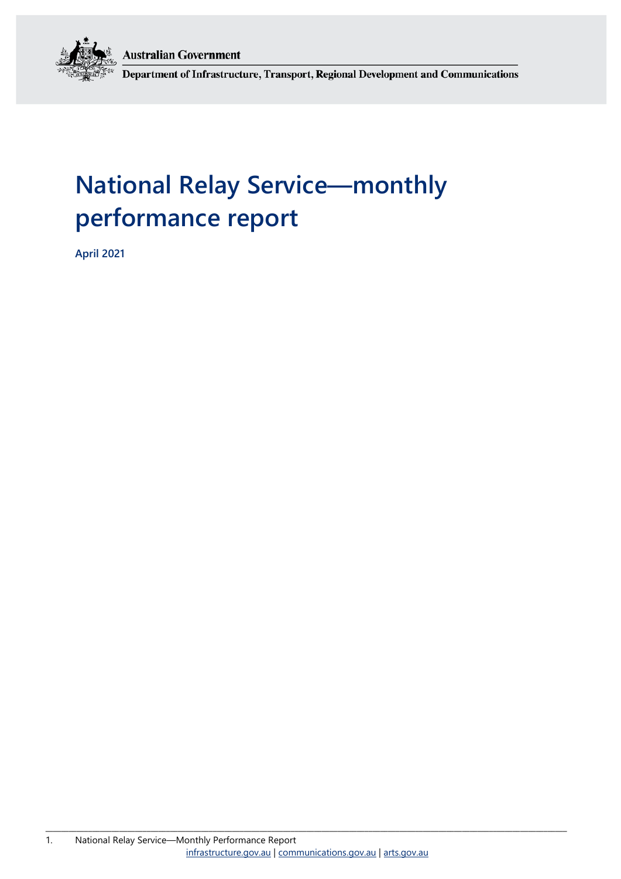**Australian Government** 



Department of Infrastructure, Transport, Regional Development and Communications

# **National Relay Service—monthly performance report**

**April 2021**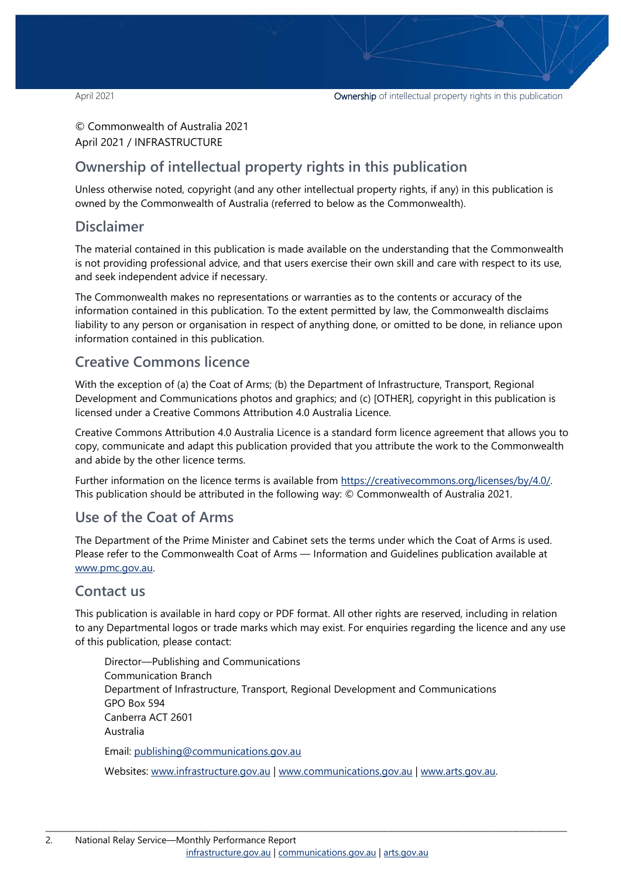© Commonwealth of Australia 2021 April 2021 / INFRASTRUCTURE

## **Ownership of intellectual property rights in this publication**

Unless otherwise noted, copyright (and any other intellectual property rights, if any) in this publication is owned by the Commonwealth of Australia (referred to below as the Commonwealth).

### **Disclaimer**

The material contained in this publication is made available on the understanding that the Commonwealth is not providing professional advice, and that users exercise their own skill and care with respect to its use, and seek independent advice if necessary.

The Commonwealth makes no representations or warranties as to the contents or accuracy of the information contained in this publication. To the extent permitted by law, the Commonwealth disclaims liability to any person or organisation in respect of anything done, or omitted to be done, in reliance upon information contained in this publication.

## **Creative Commons licence**

With the exception of (a) the Coat of Arms; (b) the Department of Infrastructure, Transport, Regional Development and Communications photos and graphics; and (c) [OTHER], copyright in this publication is licensed under a Creative Commons Attribution 4.0 Australia Licence.

Creative Commons Attribution 4.0 Australia Licence is a standard form licence agreement that allows you to copy, communicate and adapt this publication provided that you attribute the work to the Commonwealth and abide by the other licence terms.

Further information on the licence terms is available from [https://creativecommons.org/licenses/by/4.0/.](https://creativecommons.org/licenses/by/4.0/) This publication should be attributed in the following way: © Commonwealth of Australia 2021.

## **Use of the Coat of Arms**

The Department of the Prime Minister and Cabinet sets the terms under which the Coat of Arms is used. Please refer to the Commonwealth Coat of Arms — Information and Guidelines publication available at [www.pmc.gov.au.](http://www.pmc.gov.au/) 

### **Contact us**

This publication is available in hard copy or PDF format. All other rights are reserved, including in relation to any Departmental logos or trade marks which may exist. For enquiries regarding the licence and any use of this publication, please contact:

Director—Publishing and Communications Communication Branch Department of Infrastructure, Transport, Regional Development and Communications GPO Box 594 Canberra ACT 2601 Australia Email: [publishing@communications.gov.au](mailto:publishing@communications.gov.au)

Websites: [www.infrastructure.gov.au](http://www.infrastructure.gov.au/) | [www.communications.gov.au](http://www.communications.gov.au/) | [www.arts.gov.au.](http://www.arts.gov.au/)

\_\_\_\_\_\_\_\_\_\_\_\_\_\_\_\_\_\_\_\_\_\_\_\_\_\_\_\_\_\_\_\_\_\_\_\_\_\_\_\_\_\_\_\_\_\_\_\_\_\_\_\_\_\_\_\_\_\_\_\_\_\_\_\_\_\_\_\_\_\_\_\_\_\_\_\_\_\_\_\_\_\_\_\_\_\_\_\_\_\_\_\_\_\_\_\_\_\_\_\_\_\_\_\_\_\_\_\_\_\_\_\_\_\_\_\_\_\_\_\_\_\_\_\_\_\_\_\_\_\_\_\_\_\_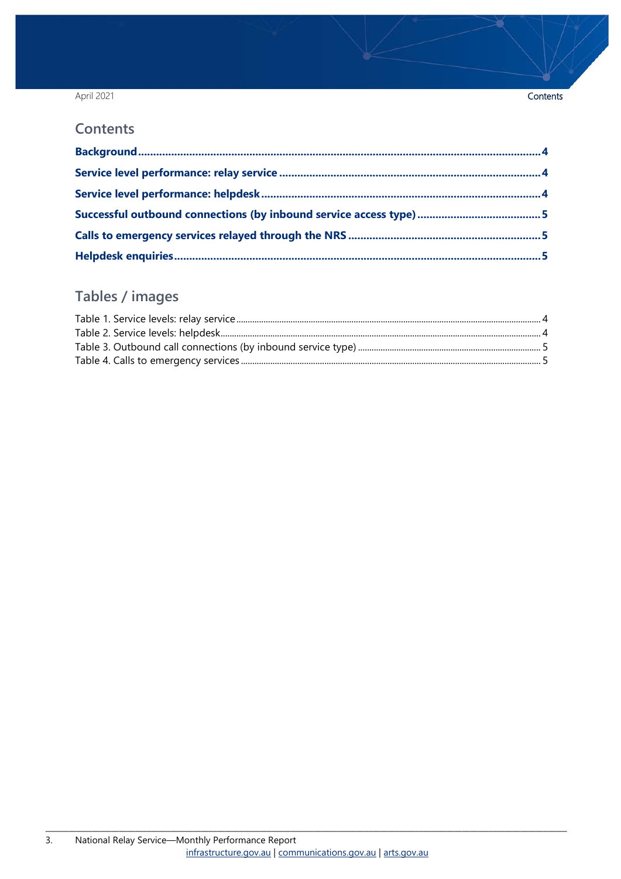### April 2021

### Contents

### **Contents**

## Tables / images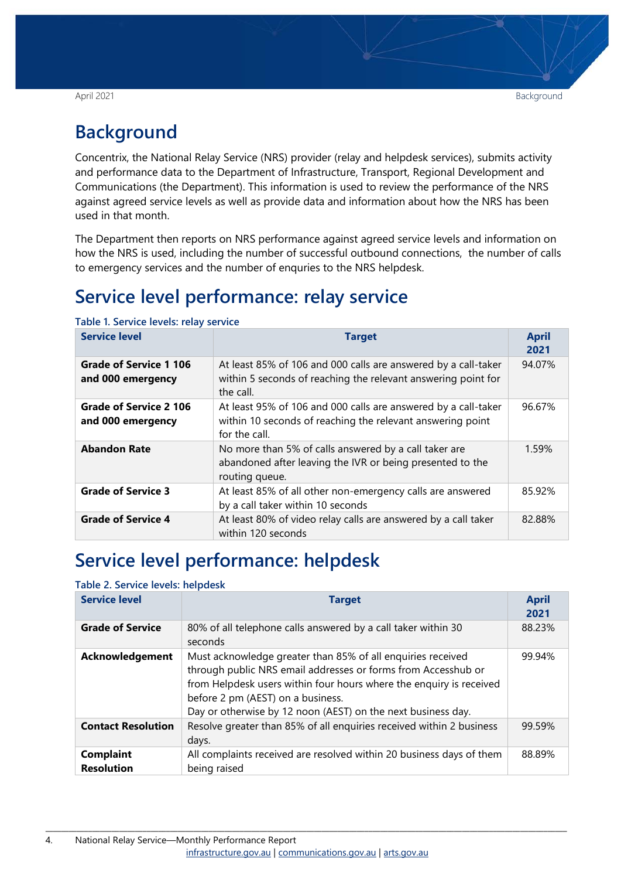## <span id="page-3-0"></span>**Background**

Concentrix, the National Relay Service (NRS) provider (relay and helpdesk services), submits activity and performance data to the Department of Infrastructure, Transport, Regional Development and Communications (the Department). This information is used to review the performance of the NRS against agreed service levels as well as provide data and information about how the NRS has been used in that month.

The Department then reports on NRS performance against agreed service levels and information on how the NRS is used, including the number of successful outbound connections, the number of calls to emergency services and the number of enquries to the NRS helpdesk.

## <span id="page-3-1"></span>**Service level performance: relay service**

| <b>Service level</b>                               | <b>Target</b>                                                                                                                                 | <b>April</b><br>2021 |
|----------------------------------------------------|-----------------------------------------------------------------------------------------------------------------------------------------------|----------------------|
| <b>Grade of Service 1 106</b><br>and 000 emergency | At least 85% of 106 and 000 calls are answered by a call-taker<br>within 5 seconds of reaching the relevant answering point for<br>the call.  | 94.07%               |
| <b>Grade of Service 2 106</b><br>and 000 emergency | At least 95% of 106 and 000 calls are answered by a call-taker<br>within 10 seconds of reaching the relevant answering point<br>for the call. | 96.67%               |
| <b>Abandon Rate</b>                                | No more than 5% of calls answered by a call taker are<br>abandoned after leaving the IVR or being presented to the<br>routing queue.          | 1.59%                |
| <b>Grade of Service 3</b>                          | At least 85% of all other non-emergency calls are answered<br>by a call taker within 10 seconds                                               | 85.92%               |
| <b>Grade of Service 4</b>                          | At least 80% of video relay calls are answered by a call taker<br>within 120 seconds                                                          | 82.88%               |

<span id="page-3-3"></span>**Table 1. Service levels: relay service**

## <span id="page-3-2"></span>**Service level performance: helpdesk**

### <span id="page-3-4"></span>**Table 2. Service levels: helpdesk**

| <b>Service level</b>                  | <b>Target</b>                                                                                                                                                                                                                                                                                            | <b>April</b><br>2021 |
|---------------------------------------|----------------------------------------------------------------------------------------------------------------------------------------------------------------------------------------------------------------------------------------------------------------------------------------------------------|----------------------|
| <b>Grade of Service</b>               | 80% of all telephone calls answered by a call taker within 30<br>seconds                                                                                                                                                                                                                                 | 88.23%               |
| Acknowledgement                       | Must acknowledge greater than 85% of all enquiries received<br>through public NRS email addresses or forms from Accesshub or<br>from Helpdesk users within four hours where the enquiry is received<br>before 2 pm (AEST) on a business.<br>Day or otherwise by 12 noon (AEST) on the next business day. | 99.94%               |
| <b>Contact Resolution</b>             | Resolve greater than 85% of all enquiries received within 2 business<br>days.                                                                                                                                                                                                                            | 99.59%               |
| <b>Complaint</b><br><b>Resolution</b> | All complaints received are resolved within 20 business days of them<br>being raised                                                                                                                                                                                                                     | 88.89%               |

\_\_\_\_\_\_\_\_\_\_\_\_\_\_\_\_\_\_\_\_\_\_\_\_\_\_\_\_\_\_\_\_\_\_\_\_\_\_\_\_\_\_\_\_\_\_\_\_\_\_\_\_\_\_\_\_\_\_\_\_\_\_\_\_\_\_\_\_\_\_\_\_\_\_\_\_\_\_\_\_\_\_\_\_\_\_\_\_\_\_\_\_\_\_\_\_\_\_\_\_\_\_\_\_\_\_\_\_\_\_\_\_\_\_\_\_\_\_\_\_\_\_\_\_\_\_\_\_\_\_\_\_\_\_